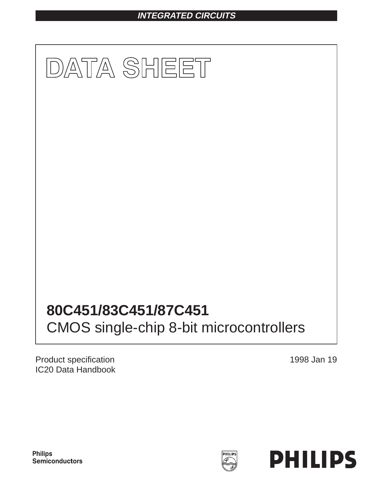# **INTEGRATED CIRCUITS**



Product specification IC20 Data Handbook 1998 Jan 19

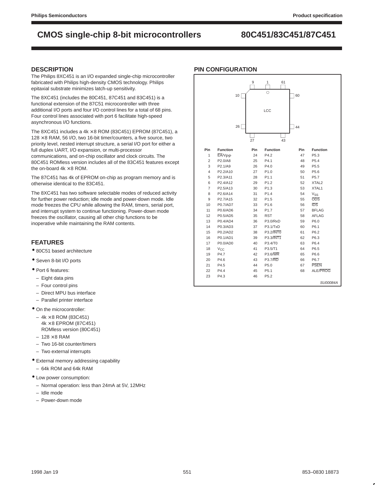## **DESCRIPTION**

The Philips 8XC451 is an I/O expanded single-chip microcontroller fabricated with Philips high-density CMOS technology. Philips epitaxial substrate minimizes latch-up sensitivity.

The 8XC451 (includes the 80C451, 87C451 and 83C451) is a functional extension of the 87C51 microcontroller with three additional I/O ports and four I/O control lines for a total of 68 pins. Four control lines associated with port 6 facilitate high-speed asynchronous I/O functions.

The 8XC451 includes a  $4k \times 8$  ROM (83C451) EPROM (87C451), a  $128 \times 8$  RAM, 56 I/O, two 16-bit timer/counters, a five source, two priority level, nested interrupt structure, a serial I/O port for either a full duplex UART, I/O expansion, or multi-processor communications, and on-chip oscillator and clock circuits. The 80C451 ROMless version includes all of the 83C451 features except the on-board  $4k \times 8$  ROM.

The 87C451 has 4k of EPROM on-chip as program memory and is otherwise identical to the 83C451.

The 8XC451 has two software selectable modes of reduced activity for further power reduction; idle mode and power-down mode. Idle mode freezes the CPU while allowing the RAM, timers, serial port, and interrupt system to continue functioning. Power-down mode freezes the oscillator, causing all other chip functions to be inoperative while maintaining the RAM contents.

## **FEATURES**

- 80C51 based architecture
- Seven 8-bit I/O ports
- Port 6 features:
	- Eight data pins
	- Four control pins
	- Direct MPU bus interface
	- Parallel printer interface
- On the microcontroller:
	- $-4k \times 8$  ROM (83C451) 4k × 8 EPROM (87C451) ROMless version (80C451)
	- $-128\times 8$  RAM
	- Two 16-bit counter/timers
	- Two external interrupts
- External memory addressing capability
	- 64k ROM and 64k RAM
- Low power consumption:
	- Normal operation: less than 24mA at 5V, 12MHz
	- Idle mode
	- Power-down mode

## **PIN CONFIGURATION**

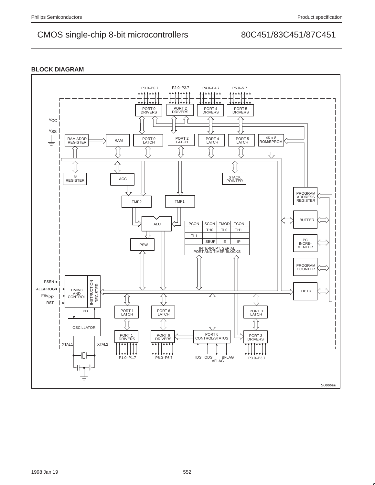## **BLOCK DIAGRAM**

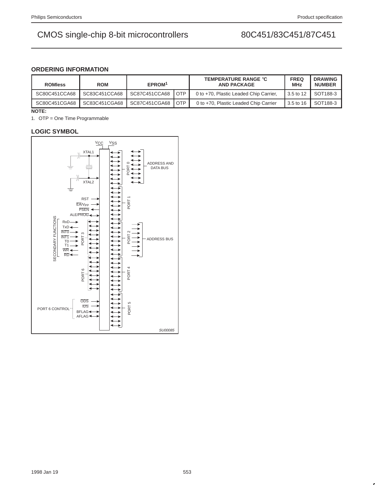## **ORDERING INFORMATION**

| <b>ROMIess</b> | <b>ROM</b>    | EPROM <sup>1</sup> |     | <b>TEMPERATURE RANGE °C</b><br><b>AND PACKAGE</b> | <b>FREQ</b><br><b>MHz</b> | <b>DRAWING</b><br><b>NUMBER</b> |
|----------------|---------------|--------------------|-----|---------------------------------------------------|---------------------------|---------------------------------|
| SC80C451CCA68  | SC83C451CCA68 | SC87C451CCA68      | OTP | 0 to +70, Plastic Leaded Chip Carrier,            | <b>3.5 to 12</b>          | SOT188-3                        |
| SC80C451CGA68  | SC83C451CGA68 | SC87C451CGA68      | OTP | 0 to +70, Plastic Leaded Chip Carrier             | 3.5 to 16                 | SOT188-3                        |

**NOTE:**

1. OTP = One Time Programmable

## **LOGIC SYMBOL**

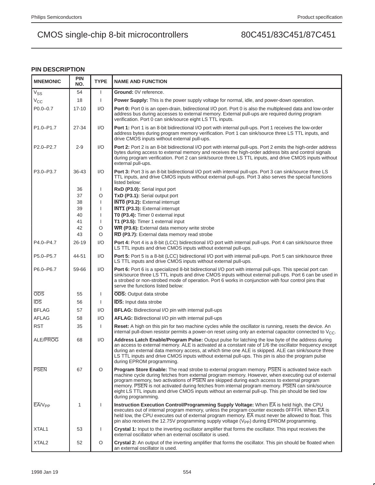## **PIN DESCRIPTION**

| <b>MNEMONIC</b>    | <b>PIN</b><br>NO. | <b>TYPE</b>  | <b>NAME AND FUNCTION</b>                                                                                                                                                                                                                                                                                                                                                                                                                                                                                                                  |
|--------------------|-------------------|--------------|-------------------------------------------------------------------------------------------------------------------------------------------------------------------------------------------------------------------------------------------------------------------------------------------------------------------------------------------------------------------------------------------------------------------------------------------------------------------------------------------------------------------------------------------|
| V <sub>SS</sub>    | 54                | ı            | Ground: 0V reference.                                                                                                                                                                                                                                                                                                                                                                                                                                                                                                                     |
| $V_{\rm CC}$       | 18                | L            | <b>Power Supply:</b> This is the power supply voltage for normal, idle, and power-down operation.                                                                                                                                                                                                                                                                                                                                                                                                                                         |
| $P0.0 - 0.7$       | $17 - 10$         | 1/O          | <b>Port 0:</b> Port 0 is an open-drain, bidirectional I/O port. Port 0 is also the multiplexed data and low-order<br>address bus during accesses to external memory. External pull-ups are required during program<br>verification. Port 0 can sink/source eight LS TTL inputs.                                                                                                                                                                                                                                                           |
| P1.0-P1.7          | 27-34             | 1/O          | Port 1: Port 1 is an 8-bit bidirectional I/O port with internal pull-ups. Port 1 receives the low-order<br>address bytes during program memory verification. Port 1 can sink/source three LS TTL inputs, and<br>drive CMOS inputs without external pull-ups.                                                                                                                                                                                                                                                                              |
| P2.0-P2.7          | $2 - 9$           | 1/O          | Port 2: Port 2 is an 8-bit bidirectional I/O port with internal pull-ups. Port 2 emits the high-order address<br>bytes during access to external memory and receives the high-order address bits and control signals<br>during program verification. Port 2 can sink/source three LS TTL inputs, and drive CMOS inputs without<br>external pull-ups.                                                                                                                                                                                      |
| P3.0-P3.7          | 36-43             | 1/O          | Port 3: Port 3 is an 8-bit bidirectional I/O port with internal pull-ups. Port 3 can sink/source three LS<br>TTL inputs, and drive CMOS inputs without external pull-ups. Port 3 also serves the special functions<br>listed below:                                                                                                                                                                                                                                                                                                       |
|                    | 36                | L            | RxD (P3.0): Serial input port                                                                                                                                                                                                                                                                                                                                                                                                                                                                                                             |
|                    | 37                | O            | TxD (P3.1): Serial output port                                                                                                                                                                                                                                                                                                                                                                                                                                                                                                            |
|                    | 38                | $\mathbf{I}$ | <b>INTO (P3.2):</b> External interrupt                                                                                                                                                                                                                                                                                                                                                                                                                                                                                                    |
|                    | 39                |              | <b>INT1 (P3.3):</b> External interrupt<br>T0 (P3.4): Timer 0 external input                                                                                                                                                                                                                                                                                                                                                                                                                                                               |
|                    | 40<br>41          |              | T1 (P3.5): Timer 1 external input                                                                                                                                                                                                                                                                                                                                                                                                                                                                                                         |
|                    | 42                | $\circ$      | WR (P3.6): External data memory write strobe                                                                                                                                                                                                                                                                                                                                                                                                                                                                                              |
|                    | 43                | O            | RD (P3.7): External data memory read strobe                                                                                                                                                                                                                                                                                                                                                                                                                                                                                               |
| P4.0-P4.7          | $26 - 19$         | 1/O          | Port 4: Port 4 is a 8-bit (LCC) bidirectional I/O port with internal pull-ups. Port 4 can sink/source three<br>LS TTL inputs and drive CMOS inputs without external pull-ups.                                                                                                                                                                                                                                                                                                                                                             |
| P5.0-P5.7          | 44-51             | 1/O          | Port 5: Port 5 is a 8-bit (LCC) bidirectional I/O port with internal pull-ups. Port 5 can sink/source three<br>LS TTL inputs and drive CMOS inputs without external pull-ups.                                                                                                                                                                                                                                                                                                                                                             |
| P6.0-P6.7          | 59-66             | 1/O          | Port 6: Port 6 is a specialized 8-bit bidirectional I/O port with internal pull-ups. This special port can<br>sink/source three LS TTL inputs and drive CMOS inputs without external pull-ups. Port 6 can be used in<br>a strobed or non-strobed mode of operation. Port 6 works in conjunction with four control pins that<br>serve the functions listed below:                                                                                                                                                                          |
| <b>ODS</b>         | 55                | L            | <b>ODS:</b> Output data strobe                                                                                                                                                                                                                                                                                                                                                                                                                                                                                                            |
| <b>IDS</b>         | 56                | $\mathbf{I}$ | <b>IDS:</b> Input data strobe                                                                                                                                                                                                                                                                                                                                                                                                                                                                                                             |
| <b>BFLAG</b>       | 57                | 1/O          | <b>BFLAG:</b> Bidirectional I/O pin with internal pull-ups                                                                                                                                                                                                                                                                                                                                                                                                                                                                                |
| <b>AFLAG</b>       | 58                | 1/O          | AFLAG: Bidirectional I/O pin with internal pull-ups                                                                                                                                                                                                                                                                                                                                                                                                                                                                                       |
| <b>RST</b>         | 35                | L            | <b>Reset:</b> A high on this pin for two machine cycles while the oscillator is running, resets the device. An<br>internal pull-down resistor permits a power-on reset using only an external capacitor connected to $V_{CC}$ .                                                                                                                                                                                                                                                                                                           |
| <b>ALE/PROG</b>    | 68                | 1/O          | Address Latch Enable/Program Pulse: Output pulse for latching the low byte of the address during<br>an access to external memory. ALE is activated at a constant rate of 1/6 the oscillator frequency except<br>during an external data memory access, at which time one ALE is skipped. ALE can sink/source three<br>LS TTL inputs and drive CMOS inputs without external pull-ups. This pin is also the program pulse<br>during EPROM programming.                                                                                      |
| <b>PSEN</b>        | 67                | $\circ$      | <b>Program Store Enable:</b> The read strobe to external program memory. PSEN is activated twice each<br>machine cycle during fetches from external program memory. However, when executing out of external<br>program memory, two activations of PSEN are skipped during each access to external program<br>memory. PSEN is not activated during fetches from internal program memory. PSEN can sink/source<br>eight LS TTL inputs and drive CMOS inputs without an external pull-up. This pin should be tied low<br>during programming. |
| EA/V <sub>PP</sub> | 1                 | L            | Instruction Execution Control/Programming Supply Voltage: When EA is held high, the CPU<br>executes out of internal program memory, unless the program counter exceeds OFFFH. When EA is<br>held low, the CPU executes out of external program memory. EA must never be allowed to float. This<br>pin also receives the 12.75V programming supply voltage ( $V_{PP}$ ) during EPROM programming.                                                                                                                                          |
| XTAL1              | 53                | ı            | Crystal 1: Input to the inverting oscillator amplifier that forms the oscillator. This input receives the<br>external oscillator when an external oscillator is used.                                                                                                                                                                                                                                                                                                                                                                     |
| XTAL <sub>2</sub>  | 52                | $\circ$      | <b>Crystal 2:</b> An output of the inverting amplifier that forms the oscillator. This pin should be floated when<br>an external oscillator is used.                                                                                                                                                                                                                                                                                                                                                                                      |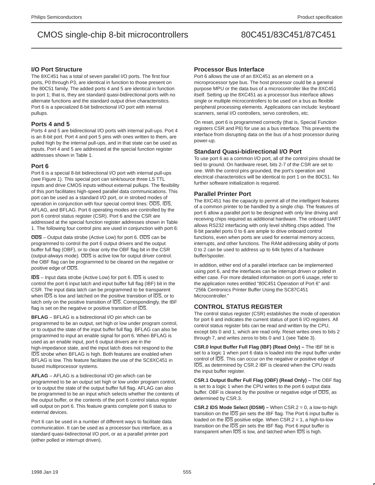## **I/O Port Structure**

The 8XC451 has a total of seven parallel I/O ports. The first four ports, P0 through P3, are identical in function to those present on the 80C51 family. The added ports 4 and 5 are identical in function to port 1; that is, they are standard quasi-bidirectional ports with no alternate functions and the standard output drive characteristics. Port 6 is a specialized 8-bit bidirectional I/O port with internal pullups.

## **Ports 4 and 5**

Ports 4 and 5 are bidirectional I/O ports with internal pull-ups. Port 4 is an 8-bit port. Port 4 and port 5 pins with ones written to them, are pulled high by the internal pull-ups, and in that state can be used as inputs. Port 4 and 5 are addressed at the special function register addresses shown in Table 1.

## **Port 6**

Port 6 is a special 8-bit bidirectional I/O port with internal pull-ups (see Figure 1). This special port can sink/source three LS TTL inputs and drive CMOS inputs without external pullups. The flexibility of this port facilitates high-speed parallel data communications. This port can be used as a standard I/O port, or in strobed modes of operation in conjunction with four special control lines: ODS, IDS, AFLAG, and BFLAG. Port 6 operating modes are controlled by the port 6 control status register (CSR). Port 6 and the CSR are addressed at the special function register addresses shown in Table 1. The following four control pins are used in conjunction with port 6:

**ODS** – Output data strobe (Active Low) for port 6. ODS can be programmed to control the port 6 output drivers and the output buffer full flag (OBF), or to clear only the OBF flag bit in the CSR (output-always mode). ODS is active low for output driver control. the OBF flag can be programmed to be cleared on the negative or positive edge of ODS.

**IDS** – Input data strobe (Active Low) for port 6. IDS is used to control the port 6 input latch and input buffer full flag (IBF) bit in the CSR. The input data latch can be programmed to be transparent when  $\overline{IDS}$  is low and latched on the positive transition of  $\overline{IDS}$ , or to latch only on the positive transition of IDS. Correspondingly, the IBF flag is set on the negative or positive transition of IDS.

**BFLAG** – BFLAG is a bidirectional I/O pin which can be programmed to be an output, set high or low under program control, or to output the state of the input buffer full flag. BFLAG can also be programmed to input an enable signal for port 6. When BFLAG is used as an enable input, port 6 output drivers are in the high-impedance state, and the input latch does not respond to the IDS strobe when BFLAG is high. Both features are enabled when BFLAG is low. This feature facilitates the use of the SC8XC451 in bused multiprocessor systems.

**AFLAG** – AFLAG is a bidirectional I/O pin which can be programmed to be an output set high or low under program control, or to output the state of the output buffer full flag. AFLAG can also be programmed to be an input which selects whether the contents of the output buffer, or the contents of the port 6 control status register will output on port 6. This feature grants complete port 6 status to external devices.

Port 6 can be used in a number of different ways to facilitate data communication. It can be used as a processor bus interface, as a standard quasi-bidirectional I/O port, or as a parallel printer port (either polled or interrupt driven).

### **Processor Bus Interface**

Port 6 allows the use of an 8XC451 as an element on a microprocessor type bus. The host processor could be a general purpose MPU or the data bus of a microcontroller like the 8XC451 itself. Setting up the 8XC451 as a processor bus interface allows single or multiple microcontrollers to be used on a bus as flexible peripheral processing elements. Applications can include: keyboard scanners, serial I/O controllers, servo controllers, etc.

On reset, port 6 is programmed correctly (that is, Special Function registers CSR and P6) for use as a bus interface. This prevents the interface from disrupting data on the bus of a host processor during power-up.

### **Standard Quasi-bidirectional I/O Port**

To use port 6 as a common I/O port, all of the control pins should be tied to ground. On hardware reset, bits 2-7 of the CSR are set to one. With the control pins grounded, the port's operation and electrical characteristics will be identical to port 1 on the 80C51. No further software initialization is required.

## **Parallel Printer Port**

The 8XC451 has the capacity to permit all of the intelligent features of a common printer to be handled by a single chip. The features of port 6 allow a parallel port to be designed with only line driving and receiving chips required as additional hardware. The onboard UART allows RS232 interfacing with only level shifting chips added. The 8-bit parallel ports 0 to 6 are ample to drive onboard control functions, even when ports are used for external memory access, interrupts, and other functions. The RAM addressing ability of ports 0 to 2 can be used to address up to 64k bytes of a hardware buffer/spooler.

In addition, either end of a parallel interface can be implemented using port 6, and the interfaces can be interrupt driven or polled in either case. For more detailed information on port 6 usage, refer to the application notes entitled "80C451 Operation of Port 6" and "256k Centronics Printer Buffer Using the SC87C451 Microcontroller."

## **CONTROL STATUS REGISTER**

The control status register (CSR) establishes the mode of operation for port 6 and indicates the current status of port 6 I/O registers. All control status register bits can be read and written by the CPU, except bits 0 and 1, which are read only. Reset writes ones to bits 2 through 7, and writes zeros to bits 0 and 1 (see Table 3).

**CSR.0 Input Buffer Full Flag (IBF) (Read Only) - The IBF bit is** set to a logic 1 when port 6 data is loaded into the input buffer under control of IDS. This can occur on the negative or positive edge of IDS, as determined by CSR.2 IBF is cleared when the CPU reads the input buffer register.

**CSR.1 Output Buffer Full Flag (OBF) (Read Only) –** The OBF flag is set to a logic 1 when the CPU writes to the port 6 output data buffer. OBF is cleared by the positive or negative edge of ODS, as determined by CSR.3.

**CSR.2 IDS Mode Select (IDSM) –** When CSR.2 = 0, a low-to-high transition on the IDS pin sets the IBF flag. The Port 6 input buffer is loaded on the  $\overline{\text{IDS}}$  positive edge. When CSR.2 = 1, a high-to-low transition on the IDS pin sets the IBF flag. Port 6 input buffer is transparent when  $\overline{\text{IDS}}$  is low, and latched when  $\overline{\text{IDS}}$  is high.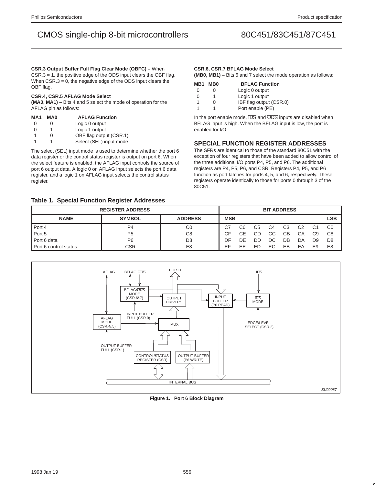**CSR.3 Output Buffer Full Flag Clear Mode (OBFC) –** When

 $CSR.3 = 1$ , the positive edge of the  $\overline{ODS}$  input clears the OBF flag. When CSR.3 = 0, the negative edge of the  $\overline{ODS}$  input clears the OBF flag.

## **CSR.4, CSR.5 AFLAG Mode Select**

**(MA0, MA1) –** Bits 4 and 5 select the mode of operation for the AFLAG pin as follows:

| MA0        | <b>AFLAG Function</b>   |
|------------|-------------------------|
|            | Logic 0 output          |
|            | Logic 1 output          |
| $^{\circ}$ | OBF flag output (CSR.1) |
|            | Select (SEL) input mode |
|            |                         |

The select (SEL) input mode is used to determine whether the port 6 data register or the control status register is output on port 6. When the select feature is enabled, the AFLAG input controls the source of port 6 output data. A logic 0 on AFLAG input selects the port 6 data register, and a logic 1 on AFLAG input selects the control status register.

## **CSR.6, CSR.7 BFLAG Mode Select**

**(MB0, MB1) –** Bits 6 and 7 select the mode operation as follows:

| MB1 | MB <sub>0</sub> | <b>BFLAG Function</b>   |
|-----|-----------------|-------------------------|
| 0   | U               | Logic 0 output          |
| 0   |                 | Logic 1 output          |
|     | U               | IBF flag output (CSR.0) |
|     |                 | Port enable (PE)        |

In the port enable mode, IDS and ODS inputs are disabled when BFLAG input is high. When the BFLAG input is low, the port is enabled for I/O.

## **SPECIAL FUNCTION REGISTER ADDRESSES**

The SFRs are identical to those of the standard 80C51 with the exception of four registers that have been added to allow control of the three additional I/O ports P4, P5, and P6. The additional registers are P4, P5, P6, and CSR. Registers P4, P5, and P6 function as port latches for ports 4, 5, and 6, respectively. These registers operate identically to those for ports 0 through 3 of the 80C51.

## **Table 1. Special Function Register Addresses**

| <b>REGISTER ADDRESS</b> |                |                |            |    |    | <b>BIT ADDRESS</b> |    |    |    |                |
|-------------------------|----------------|----------------|------------|----|----|--------------------|----|----|----|----------------|
| <b>NAME</b>             | <b>SYMBOL</b>  | <b>ADDRESS</b> | <b>MSB</b> |    |    |                    |    |    |    | <b>LSB</b>     |
| Port 4                  | P <sub>4</sub> | C <sub>0</sub> | С7         | C6 | C5 | C4                 | CЗ | C2 | C1 | C <sub>0</sub> |
| Port 5                  | P <sub>5</sub> | C8             | СF         | CЕ | СD | CС                 | CВ | CА | C9 | C <sub>8</sub> |
| Port 6 data             | P <sub>6</sub> | D <sub>8</sub> | DF         | DF | DD | DC                 | DB | DA | D9 | D <sub>8</sub> |
| Port 6 control status   | <b>CSR</b>     | E <sub>8</sub> | EF         | FF | FГ | EC                 | FB | ΕA | E9 | E8             |



**Figure 1. Port 6 Block Diagram**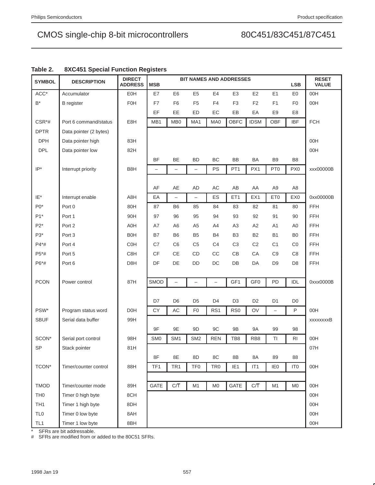| Table 2. |  |  |  | <b>8XC451 Special Function Registers</b> |
|----------|--|--|--|------------------------------------------|
|----------|--|--|--|------------------------------------------|

| <b>SYMBOL</b>   | <b>DESCRIPTION</b>     | <b>DIRECT</b><br><b>ADDRESS</b> | <b>MSB</b>               |                   |                          |                   | <b>BIT NAMES AND ADDRESSES</b> |                 |                          | <b>LSB</b>      | <b>RESET</b><br><b>VALUE</b> |
|-----------------|------------------------|---------------------------------|--------------------------|-------------------|--------------------------|-------------------|--------------------------------|-----------------|--------------------------|-----------------|------------------------------|
| $ACC*$          | Accumulator            | EOH                             | E7                       | E <sub>6</sub>    | E <sub>5</sub>           | E4                | E <sub>3</sub>                 | E <sub>2</sub>  | E1                       | E <sub>0</sub>  | 00H                          |
| $B^*$           | <b>B</b> register      | <b>F0H</b>                      | F7                       | F <sub>6</sub>    | F <sub>5</sub>           | F4                | F <sub>3</sub>                 | F <sub>2</sub>  | F <sub>1</sub>           | F <sub>0</sub>  | 00H                          |
|                 |                        |                                 | EF                       | EE                | ED                       | EС                | EB                             | EA              | E9                       | E8              |                              |
| CSR*#           | Port 6 command/status  | E8H                             | MB1                      | MB <sub>0</sub>   | MA1                      | MA0               | OBFC                           | <b>IDSM</b>     | OBF                      | <b>IBF</b>      | <b>FCH</b>                   |
| <b>DPTR</b>     | Data pointer (2 bytes) |                                 |                          |                   |                          |                   |                                |                 |                          |                 |                              |
| DPH             | Data pointer high      | 83H                             |                          |                   |                          |                   |                                |                 |                          |                 | 00H                          |
| <b>DPL</b>      | Data pointer low       | 82H                             |                          |                   |                          |                   |                                |                 |                          |                 | 00H                          |
|                 |                        |                                 | <b>BF</b>                | BE                | <b>BD</b>                | BC                | <b>BB</b>                      | BA              | B <sub>9</sub>           | B <sub>8</sub>  |                              |
| $IP^*$          | Interrupt priority     | B8H                             | $\overline{\phantom{0}}$ | $\qquad \qquad -$ | $\overline{\phantom{0}}$ | PS                | PT <sub>1</sub>                | PX1             | PT <sub>0</sub>          | PX0             | xxx00000B                    |
|                 |                        |                                 |                          |                   |                          |                   |                                |                 |                          |                 |                              |
|                 |                        |                                 | AF                       | AE                | AD                       | AC                | AB                             | AA              | A <sub>9</sub>           | A <sub>8</sub>  |                              |
| IE*             | Interrupt enable       | A8H                             | EA                       | $\bar{ }$         | $\overline{\phantom{0}}$ | ES                | ET1                            | EX1             | ET <sub>0</sub>          | EX0             | 0xx00000B                    |
| $P0*$           | Port 0                 | 80H                             | 87                       | B <sub>6</sub>    | 85                       | 84                | 83                             | 82              | 81                       | 80              | FFH                          |
| $P1*$           | Port 1                 | 90H                             | 97                       | 96                | 95                       | 94                | 93                             | 92              | 91                       | 90              | <b>FFH</b>                   |
| $P2*$           | Port 2                 | A0H                             | A7                       | A <sub>6</sub>    | A <sub>5</sub>           | A4                | A3                             | A <sub>2</sub>  | A <sub>1</sub>           | A0              | FFH                          |
| $P3*$           | Port 3                 | <b>B0H</b>                      | B7                       | <b>B6</b>         | B <sub>5</sub>           | <b>B4</b>         | B <sub>3</sub>                 | B <sub>2</sub>  | <b>B1</b>                | B <sub>0</sub>  | <b>FFH</b>                   |
| P4*#            | Port 4                 | <b>C0H</b>                      | C7                       | C <sub>6</sub>    | C <sub>5</sub>           | C <sub>4</sub>    | C <sub>3</sub>                 | C <sub>2</sub>  | C <sub>1</sub>           | CO              | <b>FFH</b>                   |
| P5*#            | Port 5                 | C8H                             | CF                       | <b>CE</b>         | CD                       | CC                | CB                             | CA              | C <sub>9</sub>           | C <sub>8</sub>  | <b>FFH</b>                   |
| P6*#            | Port 6                 | D8H                             | DF                       | DE                | DD                       | DC                | DB                             | DA              | D <sub>9</sub>           | D <sub>8</sub>  | <b>FFH</b>                   |
|                 |                        |                                 |                          |                   |                          |                   |                                |                 |                          |                 |                              |
| <b>PCON</b>     | Power control          | 87H                             | <b>SMOD</b>              | $\qquad \qquad -$ | $\overline{\phantom{0}}$ | $\qquad \qquad -$ | GF1                            | GF <sub>0</sub> | PD                       | IDL             | 0xxx0000B                    |
|                 |                        |                                 |                          |                   |                          |                   |                                |                 |                          |                 |                              |
|                 |                        |                                 | D7                       | D <sub>6</sub>    | D <sub>5</sub>           | D <sub>4</sub>    | D <sub>3</sub>                 | D <sub>2</sub>  | D <sub>1</sub>           | D <sub>0</sub>  |                              |
| PSW*            | Program status word    | D <sub>OH</sub>                 | CY                       | AC                | F <sub>0</sub>           | RS1               | RS <sub>0</sub>                | OV              | $\overline{\phantom{0}}$ | P               | 00H                          |
| <b>SBUF</b>     | Serial data buffer     | 99H                             |                          |                   |                          |                   |                                |                 |                          |                 | xxxxxxxxB                    |
|                 |                        |                                 | 9F                       | 9E                | 9D                       | 9C                | 9B                             | <b>9A</b>       | 99                       | 98              |                              |
| SCON*           | Serial port control    | 98H                             | SM <sub>0</sub>          | SM <sub>1</sub>   | SM <sub>2</sub>          | <b>REN</b>        | TB8                            | RB <sub>8</sub> | TI                       | R <sub>l</sub>  | 00H                          |
| SP              | Stack pointer          | 81H                             |                          |                   |                          |                   |                                |                 |                          |                 | 07H                          |
|                 |                        |                                 | 8F                       | 8E                | 8D                       | 8C                | 8B                             | 8A              | 89                       | 88              |                              |
| TCON*           | Timer/counter control  | 88H                             | TF1                      | TR <sub>1</sub>   | TF <sub>0</sub>          | TR <sub>0</sub>   | IE <sub>1</sub>                | IT1             | IE <sub>0</sub>          | IT <sub>0</sub> | 00H                          |
|                 |                        |                                 |                          |                   |                          |                   |                                |                 |                          |                 |                              |
| <b>TMOD</b>     | Timer/counter mode     | 89H                             | GATE                     | C/T               | M1                       | M <sub>0</sub>    | GATE                           | C/T             | M1                       | M <sub>0</sub>  | 00H                          |
| TH <sub>0</sub> | Timer 0 high byte      | 8CH                             |                          |                   |                          |                   |                                |                 |                          |                 | 00H                          |
| TH <sub>1</sub> | Timer 1 high byte      | 8DH                             |                          |                   |                          |                   |                                |                 |                          |                 | 00H                          |
| <b>TLO</b>      | Timer 0 low byte       | 8AH                             |                          |                   |                          |                   |                                |                 |                          |                 | 00H                          |
| TL <sub>1</sub> | Timer 1 low byte       | 8BH                             |                          |                   |                          |                   |                                |                 |                          |                 | 00H                          |

 $*$  SFRs are bit addressable.<br>  $#$  SFRs are modified from or

SFRs are modified from or added to the 80C51 SFRs.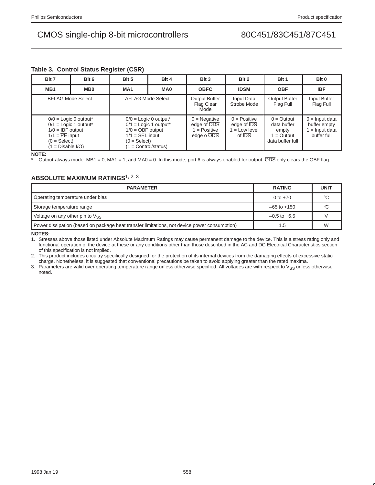## **Table 3. Control Status Register (CSR)**

| Bit 7                                                                                      | Bit 5<br>Bit 6<br>Bit 4                                        |                                                           | Bit 3                                                                       | Bit 2                                                         | Bit 1                                                                        | Bit 0                                                                  |                                                                   |
|--------------------------------------------------------------------------------------------|----------------------------------------------------------------|-----------------------------------------------------------|-----------------------------------------------------------------------------|---------------------------------------------------------------|------------------------------------------------------------------------------|------------------------------------------------------------------------|-------------------------------------------------------------------|
| MB <sub>1</sub>                                                                            | MB <sub>0</sub>                                                | MA <sub>1</sub>                                           | MA <sub>0</sub>                                                             | <b>OBFC</b>                                                   | <b>IDSM</b>                                                                  | <b>OBF</b>                                                             | <b>IBF</b>                                                        |
|                                                                                            | <b>BFLAG Mode Select</b>                                       |                                                           | AFLAG Mode Select                                                           | Output Buffer<br>Flag Clear<br>Mode                           | Input Data<br>Strobe Mode                                                    | <b>Output Buffer</b><br>Flag Full                                      | Input Buffer<br>Flag Full                                         |
| $1/0 = IBF$ output<br>$1/1 = \overline{PE}$ input<br>$(0 = Select)$<br>$(1 = Disable I/O)$ | $0/0$ = Logic 0 output*<br>$0/1$ = Logic 1 output <sup>*</sup> | $1/0 =$ OBF output<br>$1/1 =$ SEL input<br>$(0 = Select)$ | $0/0$ = Logic 0 output*<br>$0/1$ = Logic 1 output*<br>$1 =$ Control/status) | $0 =$ Negative<br>edge of ODS<br>$1 =$ Positive<br>edge o ODS | $0 = Positive$<br>edge of <b>IDS</b><br>$=$ Low level<br>of $\overline{IDS}$ | $0 =$ Output<br>data buffer<br>empty<br>$=$ Output<br>data buffer full | $0 =$ Input data<br>buffer empty<br>$=$ Input data<br>buffer full |

**NOTE:**

Output-always mode: MB1 = 0, MA1 = 1, and MA0 = 0. In this mode, port 6 is always enabled for output. ODS only clears the OBF flag.

## **ABSOLUTE MAXIMUM RATINGS**1, 2, <sup>3</sup>

| <b>PARAMETER</b>                                                                             | <b>RATING</b>    | <b>UNIT</b> |
|----------------------------------------------------------------------------------------------|------------------|-------------|
| Operating temperature under bias                                                             | 0 to $+70$       | °C          |
| Storage temperature range                                                                    | $-65$ to $+150$  | °C          |
| Voltage on any other pin to $V_{SS}$                                                         | $-0.5$ to $+6.5$ |             |
| Power dissipation (based on package heat transfer limitations, not device power consumption) | 1.5              | <b>W</b>    |

**NOTES:**

1. Stresses above those listed under Absolute Maximum Ratings may cause permanent damage to the device. This is a stress rating only and functional operation of the device at these or any conditions other than those described in the AC and DC Electrical Characteristics section of this specification is not implied.

2. This product includes circuitry specifically designed for the protection of its internal devices from the damaging effects of excessive static charge. Nonetheless, it is suggested that conventional precautions be taken to avoid applying greater than the rated maxima.

3. Parameters are valid over operating temperature range unless otherwise specified. All voltages are with respect to V<sub>SS</sub> unless otherwise noted.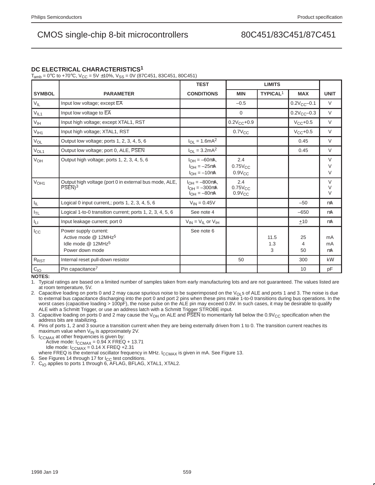## **DC ELECTRICAL CHARACTERISTICS1**

 $T_{\text{amb}} = 0^{\circ}$ C to +70 $^{\circ}$ C, V<sub>CC</sub> = 5V ±10%, V<sub>SS</sub> = 0V (87C451, 83C451, 80C451)

|                       |                                                                                                                  | <b>TEST</b>                                                              |                                    | <b>LIMITS</b>    |                   |                            |
|-----------------------|------------------------------------------------------------------------------------------------------------------|--------------------------------------------------------------------------|------------------------------------|------------------|-------------------|----------------------------|
| <b>SYMBOL</b>         | <b>PARAMETER</b>                                                                                                 | <b>CONDITIONS</b>                                                        | <b>MIN</b>                         | <b>TYPICAL1</b>  | <b>MAX</b>        | <b>UNIT</b>                |
| $V_{IL}$              | Input low voltage; except EA                                                                                     |                                                                          | $-0.5$                             |                  | $0.2V_{CC} - 0.1$ | $\vee$                     |
| $V_{IL1}$             | Input low voltage to EA                                                                                          |                                                                          | $\mathbf 0$                        |                  | $0.2V_{CC} - 0.3$ | $\vee$                     |
| $V_{\text{IH}}$       | Input high voltage; except XTAL1, RST                                                                            |                                                                          | $0.2V_{CC} + 0.9$                  |                  | $V_{CC} + 0.5$    | $\vee$                     |
| V <sub>IH1</sub>      | Input high voltage; XTAL1, RST                                                                                   |                                                                          | $0.7V_{CC}$                        |                  | $V_{CC}$ +0.5     | $\vee$                     |
| $V_{OL}$              | Output low voltage; ports 1, 2, 3, 4, 5, 6                                                                       | $I_{OL} = 1.6mA^2$                                                       |                                    |                  | 0.45              | $\vee$                     |
| V <sub>OL1</sub>      | Output low voltage; port 0, ALE, PSEN                                                                            | $I_{OL} = 3.2mA^2$                                                       |                                    |                  | 0.45              | $\vee$                     |
| V <sub>OH</sub>       | Output high voltage; ports 1, 2, 3, 4, 5, 6                                                                      | $I_{OH} = -60 \mu A$ ,<br>$I_{OH} = -25\mu A$<br>$I_{OH} = -10\mu A$     | 2.4<br>$0.75V_{CC}$<br>$0.9V_{CC}$ |                  |                   | $\vee$<br>$\vee$<br>$\vee$ |
| V <sub>OH1</sub>      | Output high voltage (port 0 in external bus mode, ALE,<br>$PSEN$ <sup>3</sup>                                    | $I_{OH} = -800 \mu A$ ,<br>$I_{OH} = -300 \mu A$<br>$I_{OH} = -80 \mu A$ | 2.4<br>$0.75V_{CC}$<br>$0.9V_{CC}$ |                  |                   | $\vee$<br>V<br>$\vee$      |
| $I_{\parallel L}$     | Logical 0 input current,; ports 1, 2, 3, 4, 5, 6                                                                 | $V_{IN} = 0.45V$                                                         |                                    |                  | $-50$             | μA                         |
| $I_{TL}$              | Logical 1-to-0 transition current; ports 1, 2, 3, 4, 5, 6                                                        | See note 4                                                               |                                    |                  | $-650$            | μA                         |
| $I_{LI}$              | Input leakage current; port 0                                                                                    | $V_{IN} = V_{IL}$ or $V_{IH}$                                            |                                    |                  | $+10$             | μA                         |
| $I_{\rm CC}$          | Power supply current:<br>Active mode @ 12MHz <sup>5</sup><br>Idle mode $@$ 12MHz <sup>5</sup><br>Power down mode | See note 6                                                               |                                    | 11.5<br>1.3<br>3 | 25<br>4<br>50     | mA<br>mA<br>μA             |
| $R_{\tiny\mbox{RST}}$ | Internal reset pull-down resistor                                                                                |                                                                          | 50                                 |                  | 300               | $k\Omega$                  |
| $C_{10}$              | Pin capacitance <sup>7</sup>                                                                                     |                                                                          |                                    |                  | 10                | pF                         |

**NOTES:**

1. Typical ratings are based on a limited number of samples taken from early manufacturing lots and are not guaranteed. The values listed are at room temperature, 5V.

2. Capacitive loading on ports 0 and 2 may cause spurious noise to be superimposed on the V<sub>OL</sub>s of ALE and ports 1 and 3. The noise is due to external bus capacitance discharging into the port 0 and port 2 pins when these pins make 1-to-0 transitions during bus operations. In the worst cases (capacitive loading > 100pF), the noise pulse on the ALE pin may exceed 0.8V. In such cases, it may be desirable to qualify ALE with a Schmitt Trigger, or use an address latch with a Schmitt Trigger STROBE input.

3. Capacitive loading on ports 0 and 2 may cause the V<sub>OH</sub> on ALE and PSEN to momentarily fall below the 0.9V<sub>CC</sub> specification when the address bits are stabilizing.

4. Pins of ports 1, 2 and 3 source a transition current when they are being externally driven from 1 to 0. The transition current reaches its maximum value when  $V_{\text{IN}}$  is approximately 2V.

5. I<sub>CCMAX</sub> at other frequencies is given by:

Active mode:  $I_{\text{CCMAX}} = 0.94$  X FREQ + 13.71 Idle mode:  $I_{\text{CCMAX}} = 0.14 \times \text{FREG} + 2.31$ 

where FREQ is the external oscillator frequency in MHz. I<sub>CCMAX</sub> is given in mA. See Figure 13.

6. See Figures 14 through 17 for  $I_{CC}$  test conditions.

7. C<sub>IO</sub> applies to ports 1 through 6, AFLAG, BFLAG, XTAL1, XTAL2.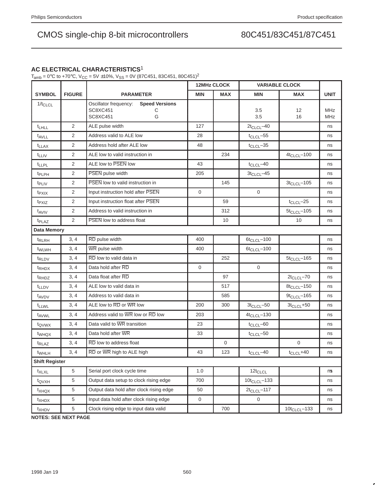## **AC ELECTRICAL CHARACTERISTICS**<sup>1</sup>

 $T_{amb} = 0^{\circ}$ C to +70 $^{\circ}$ C, V<sub>CC</sub> = 5V ±10%, V<sub>SS</sub> = 0V (87C451, 83C451, 80C451)<sup>2</sup>

|                       |                |                                                                                                |             | <b>12MHz CLOCK</b> | <b>VARIABLE CLOCK</b> |                    |                   |
|-----------------------|----------------|------------------------------------------------------------------------------------------------|-------------|--------------------|-----------------------|--------------------|-------------------|
| <b>SYMBOL</b>         | <b>FIGURE</b>  | <b>PARAMETER</b>                                                                               | <b>MIN</b>  | <b>MAX</b>         | <b>MIN</b>            | <b>MAX</b>         | <b>UNIT</b>       |
| $1/t_{CLCL}$          |                | <b>Speed Versions</b><br>Oscillator frequency:<br><b>SC8XC451</b><br>С<br><b>SC8XC451</b><br>G |             |                    | 3.5<br>3.5            | 12<br>16           | MHz<br><b>MHz</b> |
| <sup>t</sup> LHLL     | 2              | ALE pulse width                                                                                | 127         |                    | $2t_{CLCL} - 40$      |                    | ns                |
| $t_{AVLL}$            | 2              | Address valid to ALE low                                                                       | 28          |                    | $t_{CLCL}$ -55        |                    | ns                |
| $t_{LLAX}$            | $\overline{2}$ | Address hold after ALE low                                                                     | 48          |                    | $t_{CLCL}$ -35        |                    | ns                |
| t <sub>LLIV</sub>     | 2              | ALE low to valid instruction in                                                                |             | 234                |                       | $4t_{CLCL} - 100$  | ns                |
| <sup>t</sup> LLPL     | $\overline{2}$ | ALE low to PSEN low                                                                            | 43          |                    | $t_{CLCL}$ -40        |                    | ns                |
| <sup>t</sup> PLPH     | 2              | <b>PSEN</b> pulse width                                                                        | 205         |                    | $3t_{CLCL} - 45$      |                    | ns                |
| t <sub>PLIV</sub>     | 2              | <b>PSEN</b> low to valid instruction in                                                        |             | 145                |                       | $3t_{CLCL} - 105$  | ns                |
| t <sub>PXIX</sub>     | $\overline{2}$ | Input instruction hold after PSEN                                                              | $\mathbf 0$ |                    | $\mathsf{O}\xspace$   |                    | ns                |
| <sup>t</sup> PXIZ     | $\overline{2}$ | Input instruction float after PSEN                                                             |             | 59                 |                       | $t_{CLCL}$ -25     | ns                |
| $t_{AVIV}$            | 2              | Address to valid instruction in                                                                |             | 312                |                       | $5t_{CLCL} - 105$  | ns                |
| <sup>t</sup> PLAZ     | $\overline{2}$ | <b>PSEN</b> low to address float                                                               |             | 10                 |                       | 10                 | ns                |
| <b>Data Memory</b>    |                |                                                                                                |             |                    |                       |                    |                   |
| <sup>t</sup> RLRH     | 3, 4           | RD pulse width                                                                                 | 400         |                    | $6t_{CLCL} - 100$     |                    | ns                |
| <sup>t</sup> wlwH     | 3, 4           | WR pulse width                                                                                 | 400         |                    | $6t_{CLCL} - 100$     |                    | ns                |
| <sup>t</sup> RLDV     | 3, 4           | RD low to valid data in                                                                        |             | 252                |                       | $5t_{CLCL} - 165$  | ns                |
| <sup>t</sup> RHDX     | 3, 4           | Data hold after RD                                                                             | $\mathbf 0$ |                    | $\Omega$              |                    | ns                |
| t <sub>RHDZ</sub>     | 3, 4           | Data float after RD                                                                            |             | 97                 |                       | $2t_{CLCL} - 70$   | ns                |
| $t_{LLDV}$            | 3, 4           | ALE low to valid data in                                                                       |             | 517                |                       | $8t_{CLCL} - 150$  | ns                |
| t <sub>AVDV</sub>     | 3, 4           | Address to valid data in                                                                       |             | 585                |                       | $9t_{CLCL} - 165$  | ns                |
| t <sub>LLWL</sub>     | 3, 4           | ALE low to RD or WR low                                                                        | 200         | 300                | $3t_{CLCL} - 50$      | $3t_{CLCL} + 50$   | ns                |
| t <sub>AVWL</sub>     | 3, 4           | Address valid to WR low or RD low                                                              | 203         |                    | $4t_{CLCL} - 130$     |                    | ns                |
| t <sub>QVWX</sub>     | 3, 4           | Data valid to WR transition                                                                    | 23          |                    | $t_{CLCL}$ -60        |                    | ns                |
| t <sub>WHQX</sub>     | 3, 4           | Data hold after WR                                                                             | 33          |                    | $t_{CLCL}$ -50        |                    | ns                |
| t <sub>RLAZ</sub>     | 3, 4           | RD low to address float                                                                        |             | $\mathbf 0$        |                       | $\mathbf 0$        | ns                |
| t <sub>WHLH</sub>     | 3, 4           | RD or WR high to ALE high                                                                      | 43          | 123                | $t_{CLCL}$ -40        | $t_{CLCL} + 40$    | ns                |
| <b>Shift Register</b> |                |                                                                                                |             |                    |                       |                    |                   |
| $t_{\sf XLXL}$        | 5              | Serial port clock cycle time                                                                   | 1.0         |                    | $12t_{CLCL}$          |                    | μs                |
| t <sub>QVXH</sub>     | 5              | Output data setup to clock rising edge                                                         | 700         |                    | $10t_{CLCL} - 133$    |                    | ns                |
| t <sub>XHQX</sub>     | 5              | Output data hold after clock rising edge                                                       | 50          |                    | $2t_{CLCL} - 117$     |                    | ns                |
| $t_{XHDX}$            | 5              | Input data hold after clock rising edge                                                        | 0           |                    | 0                     |                    | ns                |
| t <sub>XHDV</sub>     | 5              | Clock rising edge to input data valid                                                          |             | 700                |                       | $10t_{CLCL} - 133$ | ns                |

**NOTES: SEE NEXT PAGE**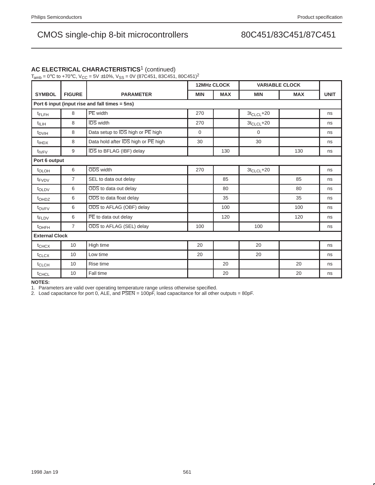## **AC ELECTRICAL CHARACTERISTICS**1 (continued)

 $T_{amb} = 0^{\circ}$ C to +70 $^{\circ}$ C, V<sub>CC</sub> = 5V ±10%, V<sub>SS</sub> = 0V (87C451, 83C451, 80C451)<sup>2</sup>

|                       |                |                                                |                | <b>12MHz CLOCK</b> | <b>VARIABLE CLOCK</b> |            |             |
|-----------------------|----------------|------------------------------------------------|----------------|--------------------|-----------------------|------------|-------------|
| <b>SYMBOL</b>         | <b>FIGURE</b>  | <b>PARAMETER</b>                               | <b>MIN</b>     | <b>MAX</b>         | <b>MIN</b>            | <b>MAX</b> | <b>UNIT</b> |
|                       |                | Port 6 input (input rise and fall times = 5ns) |                |                    |                       |            |             |
| $t_{\text{FLFH}}$     | 8              | PE width                                       | 270            |                    | $3t_{CLCL} + 20$      |            | ns          |
| $t_{\text{ILIH}}$     | 8              | <b>IDS</b> width                               | 270            |                    | $3t_{CLCL} + 20$      |            | ns          |
| $t_{DVIH}$            | 8              | Data setup to <b>IDS</b> high or PE high       | $\overline{0}$ |                    | $\mathbf 0$           |            | ns          |
| $t$ <sub>IHDX</sub>   | 8              | Data hold after IDS high or PE high            | 30             |                    | 30                    |            | ns          |
| $t_{IVEV}$            | 9              | <b>IDS</b> to BFLAG (IBF) delay                |                | 130                |                       | 130        | ns          |
| Port 6 output         |                |                                                |                |                    |                       |            |             |
| t <sub>OLOH</sub>     | 6              | ODS width                                      | 270            |                    | $3t_{CLCL} + 20$      |            | ns          |
| t <sub>FVDV</sub>     | $\overline{7}$ | SEL to data out delay                          |                | 85                 |                       | 85         | ns          |
| toLDV                 | 6              | ODS to data out delay                          |                | 80                 |                       | 80         | ns          |
| t <sub>OHDZ</sub>     | 6              | ODS to data float delay                        |                | 35                 |                       | 35         | ns          |
| tovey                 | 6              | ODS to AFLAG (OBF) delay                       |                | 100                |                       | 100        | ns          |
| t <sub>FLDV</sub>     | 6              | PE to data out delay                           |                | 120                |                       | 120        | ns          |
| $t$ OHFH              | $\overline{7}$ | ODS to AFLAG (SEL) delay                       | 100            |                    | 100                   |            | ns          |
| <b>External Clock</b> |                |                                                |                |                    |                       |            |             |
| t <sub>CHCX</sub>     | 10             | High time                                      | 20             |                    | 20                    |            | ns          |
| $t_{CLCX}$            | 10             | Low time                                       | 20             |                    | 20                    |            | ns          |
| <sup>t</sup> CLCH     | 10             | Rise time                                      |                | 20                 |                       | 20         | ns          |
| <sup>t</sup> CHCL     | 10             | Fall time                                      |                | 20                 |                       | 20         | ns          |

**NOTES:**

1. Parameters are valid over operating temperature range unless otherwise specified.

2. Load capacitance for port 0, ALE, and PSEN = 100pF, load capacitance for all other outputs = 80pF.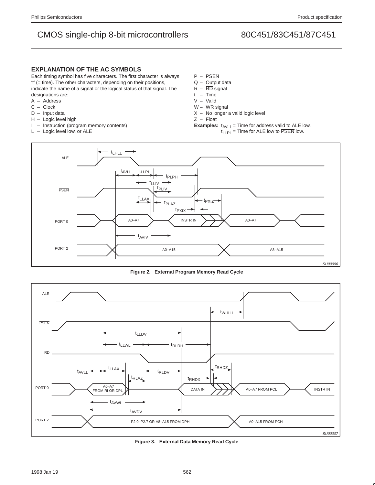## **EXPLANATION OF THE AC SYMBOLS**

Each timing symbol has five characters. The first character is always 't' (= time). The other characters, depending on their positions, indicate the name of a signal or the logical status of that signal. The designations are:

- A Address
- C Clock
- $D -$  Input data
- H Logic level high
- I Instruction (program memory contents)
- L Logic level low, or ALE
- P PSEN
- Q Output data
- $R \overline{RD}$  signal
- t Time
- V Valid
- $W \overline{WR}$  signal
- X No longer a valid logic level
- Z Float
- **Examples:**  $t_{AVLL}$  = Time for address valid to ALE low.  $t_{LLPL}$  = Time for ALE low to PSEN low.



**Figure 2. External Program Memory Read Cycle**



**Figure 3. External Data Memory Read Cycle**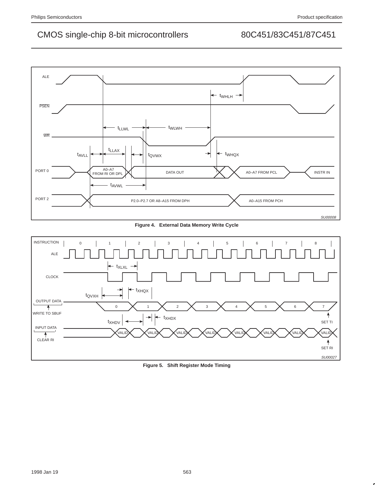

**Figure 4. External Data Memory Write Cycle**



**Figure 5. Shift Register Mode Timing**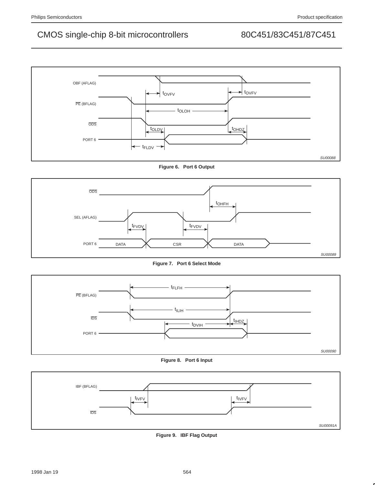

## **Figure 6. Port 6 Output**



**Figure 7. Port 6 Select Mode**



**Figure 8. Port 6 Input**



**Figure 9. IBF Flag Output**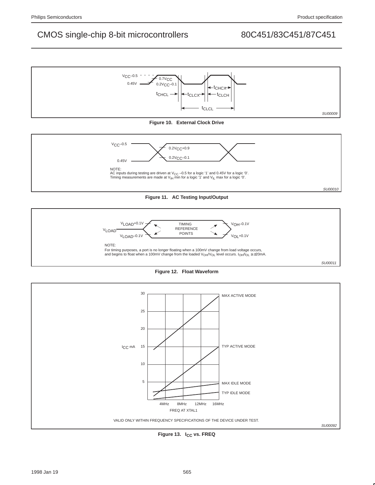





**Figure 11. AC Testing Input/Output**







Figure 13. I<sub>CC</sub> vs. FREQ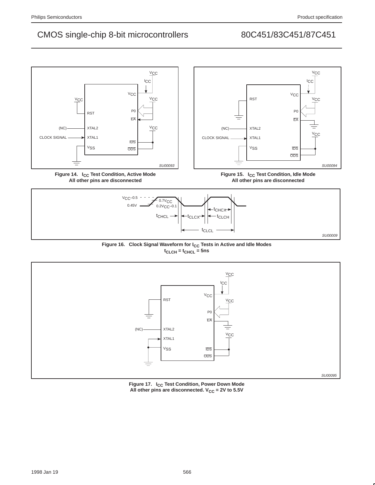

**All other pins are disconnected**

Figure 15. I<sub>CC</sub> Test Condition, Idle Mode **All other pins are disconnected**







Figure 17. I<sub>CC</sub> Test Condition, Power Down Mode All other pins are disconnected.  $V_{CC} = 2V$  to 5.5V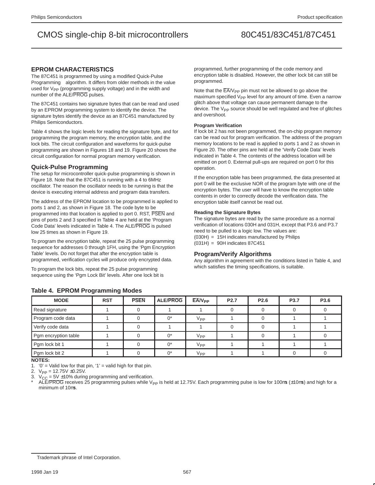## **EPROM CHARACTERISTICS**

The 87C451 is programmed by using a modified Quick-Pulse Programming<sup>™</sup> algorithm. It differs from older methods in the value used for  $V_{\text{PP}}$  (programming supply voltage) and in the width and number of the ALE/PROG pulses.

The 87C451 contains two signature bytes that can be read and used by an EPROM programming system to identify the device. The signature bytes identify the device as an 87C451 manufactured by Philips Semiconductors.

Table 4 shows the logic levels for reading the signature byte, and for programming the program memory, the encryption table, and the lock bits. The circuit configuration and waveforms for quick-pulse programming are shown in Figures 18 and 19. Figure 20 shows the circuit configuration for normal program memory verification.

## **Quick-Pulse Programming**

The setup for microcontroller quick-pulse programming is shown in Figure 18. Note that the 87C451 is running with a 4 to 6MHz oscillator. The reason the oscillator needs to be running is that the device is executing internal address and program data transfers.

The address of the EPROM location to be programmed is applied to ports 1 and 2, as shown in Figure 18. The code byte to be programmed into that location is applied to port 0. RST, PSEN and pins of ports 2 and 3 specified in Table 4 are held at the 'Program Code Data' levels indicated in Table 4. The ALE/PROG is pulsed low 25 times as shown in Figure 19.

To program the encryption table, repeat the 25 pulse programming sequence for addresses 0 through 1FH, using the 'Pgm Encryption Table' levels. Do not forget that after the encryption table is programmed, verification cycles will produce only encrypted data.

To program the lock bits, repeat the 25 pulse programming sequence using the 'Pgm Lock Bit' levels. After one lock bit is programmed, further programming of the code memory and encryption table is disabled. However, the other lock bit can still be programmed.

Note that the  $\overline{EA}/V_{\text{PP}}$  pin must not be allowed to go above the maximum specified  $V_{PP}$  level for any amount of time. Even a narrow glitch above that voltage can cause permanent damage to the device. The V<sub>PP</sub> source should be well regulated and free of glitches and overshoot.

### **Program Verification**

If lock bit 2 has not been programmed, the on-chip program memory can be read out for program verification. The address of the program memory locations to be read is applied to ports 1 and 2 as shown in Figure 20. The other pins are held at the 'Verify Code Data' levels indicated in Table 4. The contents of the address location will be emitted on port 0. External pull-ups are required on port 0 for this operation.

If the encryption table has been programmed, the data presented at port 0 will be the exclusive NOR of the program byte with one of the encryption bytes. The user will have to know the encryption table contents in order to correctly decode the verification data. The encryption table itself cannot be read out.

### **Reading the Signature Bytes**

The signature bytes are read by the same procedure as a normal verification of locations 030H and 031H, except that P3.6 and P3.7 need to be pulled to a logic low. The values are: (030H) = 15H indicates manufactured by Philips (031H) = 90H indicates 87C451

## **Program/Verify Algorithms**

Any algorithm in agreement with the conditions listed in Table 4, and which satisfies the timing specifications, is suitable.

| <b>MODE</b>          | <b>RST</b> | <b>PSEN</b> | <b>ALE/PROG</b> | $EAV_{PP}$        | P <sub>2.7</sub> | P <sub>2.6</sub> | P3.7 | P3.6 |
|----------------------|------------|-------------|-----------------|-------------------|------------------|------------------|------|------|
| Read signature       |            |             |                 |                   |                  |                  |      |      |
| Program code data    |            |             | $^{\wedge}$     | $V_{PP}$          |                  |                  |      |      |
| Verify code data     |            |             |                 |                   |                  |                  |      |      |
| Pgm encryption table |            |             | $^{\wedge*}$    | $V_{\mathsf{PP}}$ |                  |                  |      |      |
| Pgm lock bit 1       |            |             | $^{\wedge}$     | $V_{PP}$          |                  |                  |      |      |
| Pgm lock bit 2       |            |             | $^{\wedge*}$    | V <sub>PP</sub>   |                  |                  |      |      |

## **Table 4. EPROM Programming Modes**

**NOTES:**

1.  $0'$  = Valid low for that pin,  $1'$  = valid high for that pin.

2.  $V_{PP} = 12.75V \pm 0.25V$ .

3.  $V_{CC} = 5V \pm 10\%$  during programming and verification.

ALE/PROG receives 25 programming pulses while V<sub>PP</sub> is held at 12.75V. Each programming pulse is low for 100µs (±10µs) and high for a minimum of 10µs.

<sup>™</sup>Trademark phrase of Intel Corporation.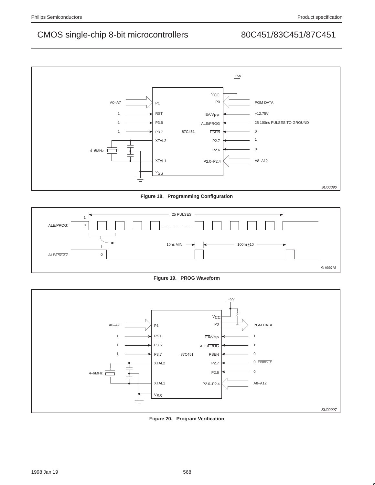

**Figure 18. Programming Configuration**



**Figure 19. PROG Waveform**



**Figure 20. Program Verification**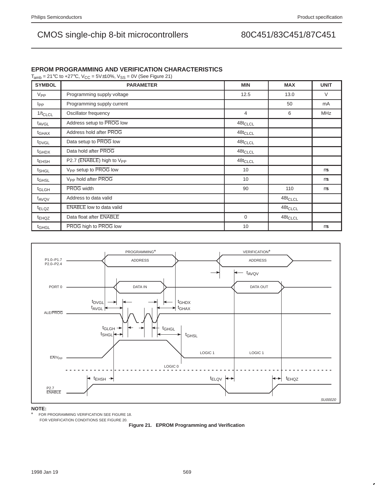## **EPROM PROGRAMMING AND VERIFICATION CHARACTERISTICS**

 $T_{amb} = 21^{\circ}$ C to +27 $^{\circ}$ C, V<sub>CC</sub> = 5V±10%, V<sub>SS</sub> = 0V (See Figure 21)

| <b>SYMBOL</b>     | <b>PARAMETER</b>                      | <b>MIN</b>          | <b>MAX</b>          | <b>UNIT</b> |
|-------------------|---------------------------------------|---------------------|---------------------|-------------|
| $V_{PP}$          | Programming supply voltage            | 12.5                | 13.0                | $\vee$      |
| <b>I</b> pp       | Programming supply current            |                     | 50                  | mA          |
| $1/t_{CLCL}$      | Oscillator frequency                  | 4                   | 6                   | <b>MHz</b>  |
| t <sub>AVGL</sub> | Address setup to PROG low             | $48t_{CLCL}$        |                     |             |
| $t_{\text{GHAX}}$ | Address hold after PROG               | $48t_{CLCL}$        |                     |             |
| t <sub>DVGL</sub> | Data setup to PROG low                | $48t_{CLCL}$        |                     |             |
| <sup>t</sup> GHDX | Data hold after PROG                  | $48t_{CLCL}$        |                     |             |
| <sup>t</sup> EHSH | P2.7 (ENABLE) high to V <sub>PP</sub> | 48t <sub>CLCL</sub> |                     |             |
| <sup>t</sup> SHGL | V <sub>PP</sub> setup to PROG low     | 10                  |                     | μs          |
| t <sub>GHSL</sub> | V <sub>PP</sub> hold after PROG       | 10                  |                     | μs          |
| <sup>t</sup> GLGH | <b>PROG</b> width                     | 90                  | 110                 | μs          |
| t <sub>AVQV</sub> | Address to data valid                 |                     | 48t <sub>CLCL</sub> |             |
| t <sub>ELQZ</sub> | <b>ENABLE</b> low to data valid       |                     | $48t$ CLCL          |             |
| <sup>t</sup> EHQZ | Data float after ENABLE               | $\mathbf 0$         | $48t$ CLCL          |             |
| t <sub>GHGL</sub> | PROG high to PROG low                 | 10                  |                     | μs          |



### **NOTE:**

FOR PROGRAMMING VERIFICATION SEE FIGURE 18.

FOR VERIFICATION CONDITIONS SEE FIGURE 20.

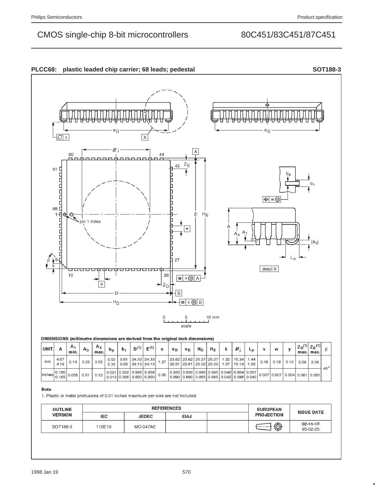

### DIMENSIONS (millimetre dimensions are derived from the original inch dimensions)

| UNIT                                                                                            |              | А.<br>min. | $A_3$ | $A_4$<br>max. | $p_{n}$      |      | $D^{(1)}$ | $E^{(1)}$                                                        |      | еp | $e_E$ | $H_D$ | $H_E$                                                                                                | ø                                |             |                         | w    |      | max. | $ Z_D^{(1)} Z_E^{(1) }$<br>l max. |              |
|-------------------------------------------------------------------------------------------------|--------------|------------|-------|---------------|--------------|------|-----------|------------------------------------------------------------------|------|----|-------|-------|------------------------------------------------------------------------------------------------------|----------------------------------|-------------|-------------------------|------|------|------|-----------------------------------|--------------|
| mm                                                                                              | 4.57<br>4.19 | 0.13       | 0.25  | 3.05          | 0.53<br>0.33 | 0.81 |           | 24.33 24.33 <br>$0.66$   24.13   24.13                           | .27  |    |       |       | 23.62   23.62   25.27   25.27  <br>22.61 22.61 25.02 25.02                                           | $1.22$   15.34<br>$1.07$   15.19 | 1.44<br>.02 | 0.18                    | 0.18 | 0.10 | 2.06 | 2.06                              | $45^{\circ}$ |
| $\left  \text{inches} \right  \left  \begin{array}{c} 0.165 \\ 0.165 \end{array} \right  0.005$ | 0.180        |            | 0.01  | 0.12          |              |      |           | 0.021   0.032   0.958   0.958  <br>0.013 0.026 0.950 0.950 0.950 | 0.05 |    |       |       | 0.930   0.930   0.995   0.995   0.048   0.604   0.057  <br>0.890 0.890 0.985 0.985 0.042 0.598 0.040 |                                  |             | 0.007 0.007 0.004 0.081 |      |      |      | 0.081                             |              |

### Note

1. Plastic or metal protrusions of 0.01 inches maximum per side are not included.

| <b>OUTLINE</b> |                            |                 | <b>REFERENCES</b> | <b>EUROPEAN</b>   | <b>ISSUE DATE</b>           |  |  |
|----------------|----------------------------|-----------------|-------------------|-------------------|-----------------------------|--|--|
| <b>VERSION</b> | <b>IEC</b><br><b>JEDEC</b> |                 | <b>EIAJ</b>       | <b>PROJECTION</b> |                             |  |  |
| SOT188-3       | 112E10                     | <b>MO-047AE</b> |                   | ⊕                 | $-92 - 11 - 17$<br>95-02-25 |  |  |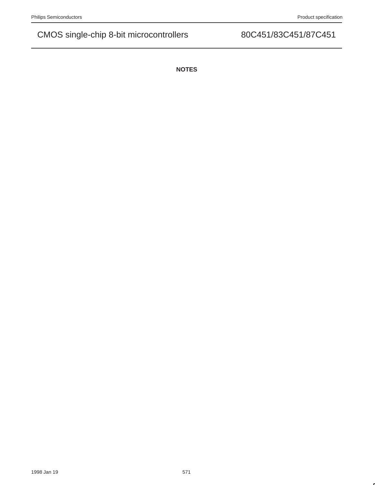**NOTES**